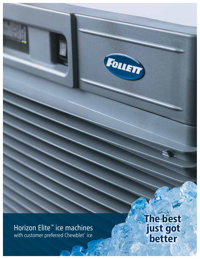Horizon Elite™ ice machines with customer preferred Chewblet® ice

The best just got better

FOLLETT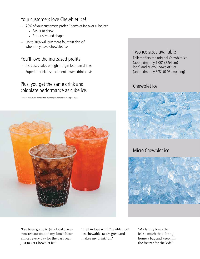# Your customers love Chewblet ice!

- 70% of your customers prefer Chewblet ice over cube ice\*
	- Easier to chew
	- Better size and shape
- $-$  Up to 30% will buy more fountain drinks\* when they have Chewblet ice

## You'll love the increased profits!

- Increases sales of high margin fountain drinks
- Superior drink displacement lowers drink costs

# Plus, you get the same drink and coldplate performance as cube ice.

\* Consumer study conducted by independent agency Roper ASW.



## Two ice sizes available

Follett offers the original Chewblet ice (approximately 1.00" (2.54 cm) long) and Micro Chewblet<sup>™</sup> ice (approximately 3/8" (0.95 cm) long).

## Chewblet ice



# Micro Chewblet ice



"I've been going to (my local drivethru restaurant) on my lunch hour almost every day for the past year just to get Chewblet ice"

"I fell in love with Chewblet ice! It's chewable, tastes great and makes my drink fun"

"My family loves the ice so much that I bring home a bag and keep it in the freezer for the kids"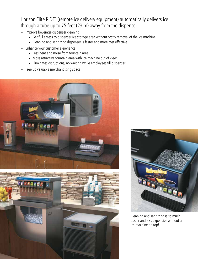## Horizon Elite RIDE® (remote ice delivery equipment) automatically delivers ice through a tube up to 75 feet (23 m) away from the dispenser

- Improve beverage dispenser cleaning
	- Get full access to dispenser ice storage area without costly removal of the ice machine
	- Cleaning and sanitizing dispenser is faster and more cost effective
- Enhance your customer experience
	- Less heat and noise from fountain area
	- More attractive fountain area with ice machine out of view
	- Eliminates disruptions, no waiting while employees fill dispenser
- Free up valuable merchandising space





Cleaning and sanitizing is so much easier and less expensive without an ice machine on top!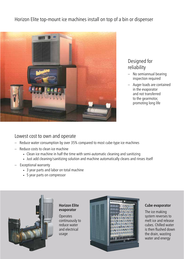Horizon Elite top-mount ice machines install on top of a bin or dispenser



### Designed for reliability

- No semiannual bearing inspection required
- Auger loads are contained in the evaporator and not transferred to the gearmotor, promoting long life

### Lowest cost to own and operate

- Reduce water consumption by over 35% compared to most cube-type ice machines
- Reduce costs to clean ice machine
	- Clean ice machine in half the time with semi-automatic cleaning and sanitizing
	- Just add cleaning/sanitizing solution and machine automatically cleans and rinses itself
- Exceptional warranty
	- 3 year parts and labor on total machine
	- 5 year parts on compressor



#### Horizon Elite evaporator

**Operates** continuously to reduce water and electrical usage



#### Cube evaporator

The ice making system reverses to melt ice and release cubes. Chilled water is then flushed down the drain, wasting water and energy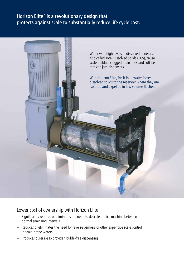## Horizon Elite<sup>™</sup> is a revolutionary design that protects against scale to substantially reduce life cycle cost.



#### Lower cost of ownership with Horizon Elite

- Significantly reduces or eliminates the need to descale the ice machine between normal sanitizing intervals
- Reduces or eliminates the need for reverse osmosis or other expensive scale control in scale-prone waters
- Produces purer ice to provide trouble-free dispensing